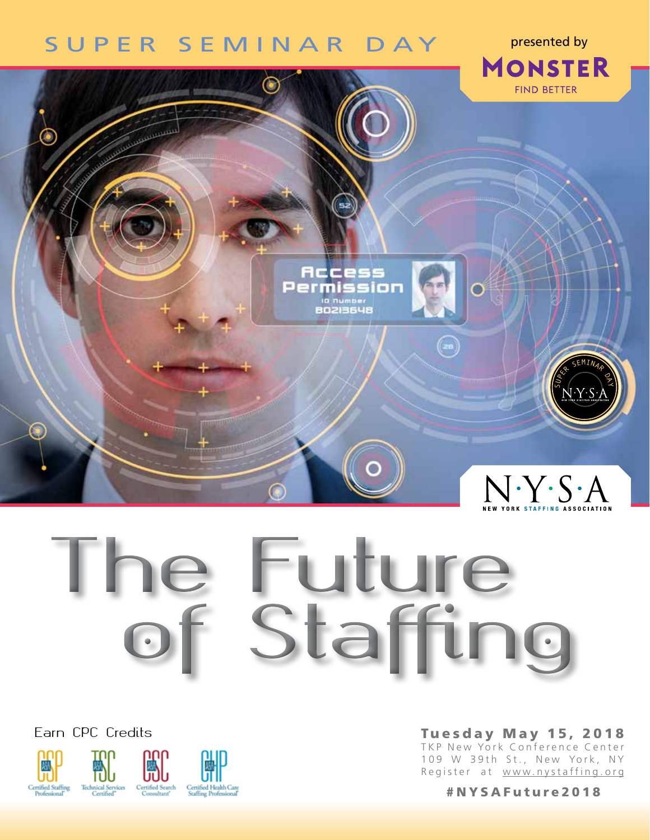# SUPER SEMINAR DAY

**MONSTER FIND BETTER Commune** Rccess<br>Permission **D** number<br>BO2I3648  $\textcolor{black}{\textcircled{\small\tt{r}}\hspace{-0.5em}}$ SEMINAR O<br>R  $N Y S A$ 

# **The Future of Staffing**

Earn CPC Credits



Tuesday May 15, 2018 TKP New York Conference Center 109 W 39th St., New York, NY Register at www.nystaffing.org

presented by

#NYSAFuture2018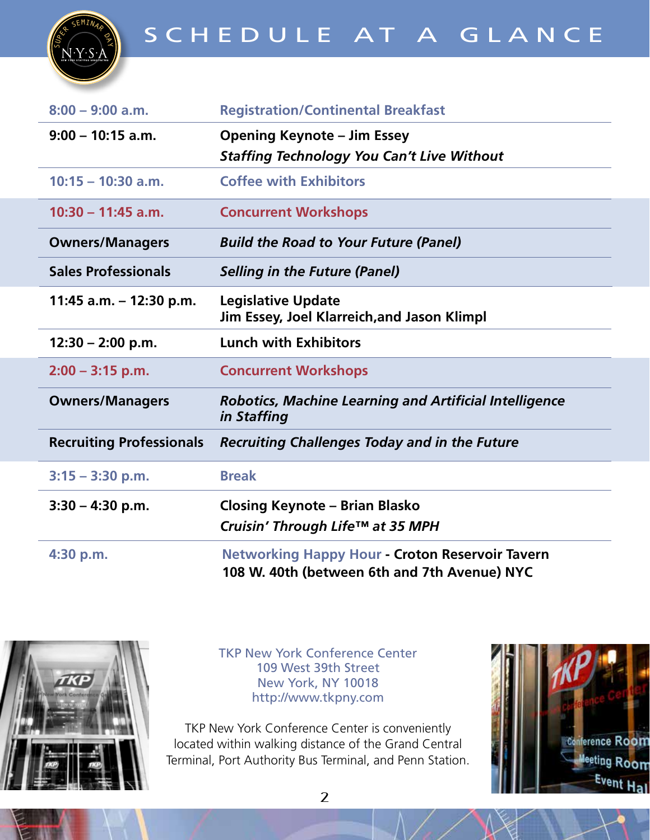

| $8:00 - 9:00$ a.m.              | <b>Registration/Continental Breakfast</b>                                                              |  |  |  |
|---------------------------------|--------------------------------------------------------------------------------------------------------|--|--|--|
| $9:00 - 10:15$ a.m.             | <b>Opening Keynote - Jim Essey</b><br><b>Staffing Technology You Can't Live Without</b>                |  |  |  |
| $10:15 - 10:30$ a.m.            | <b>Coffee with Exhibitors</b>                                                                          |  |  |  |
| $10:30 - 11:45$ a.m.            | <b>Concurrent Workshops</b>                                                                            |  |  |  |
| <b>Owners/Managers</b>          | <b>Build the Road to Your Future (Panel)</b>                                                           |  |  |  |
| <b>Sales Professionals</b>      | <b>Selling in the Future (Panel)</b>                                                                   |  |  |  |
| 11:45 a.m. - 12:30 p.m.         | <b>Legislative Update</b><br>Jim Essey, Joel Klarreich, and Jason Klimpl                               |  |  |  |
| $12:30 - 2:00$ p.m.             | <b>Lunch with Exhibitors</b>                                                                           |  |  |  |
| $2:00 - 3:15$ p.m.              | <b>Concurrent Workshops</b>                                                                            |  |  |  |
| <b>Owners/Managers</b>          | <b>Robotics, Machine Learning and Artificial Intelligence</b><br>in Staffing                           |  |  |  |
| <b>Recruiting Professionals</b> | <b>Recruiting Challenges Today and in the Future</b>                                                   |  |  |  |
| $3:15 - 3:30$ p.m.              | <b>Break</b>                                                                                           |  |  |  |
| $3:30 - 4:30$ p.m.              | <b>Closing Keynote - Brian Blasko</b><br>Cruisin' Through Life™ at 35 MPH                              |  |  |  |
| 4:30 p.m.                       | <b>Networking Happy Hour - Croton Reservoir Tavern</b><br>108 W. 40th (between 6th and 7th Avenue) NYC |  |  |  |



TKP New York Conference Center 109 West 39th Street New York, NY 10018 http://www.tkpny.com

TKP New York Conference Center is conveniently located within walking distance of the Grand Central Terminal, Port Authority Bus Terminal, and Penn Station.

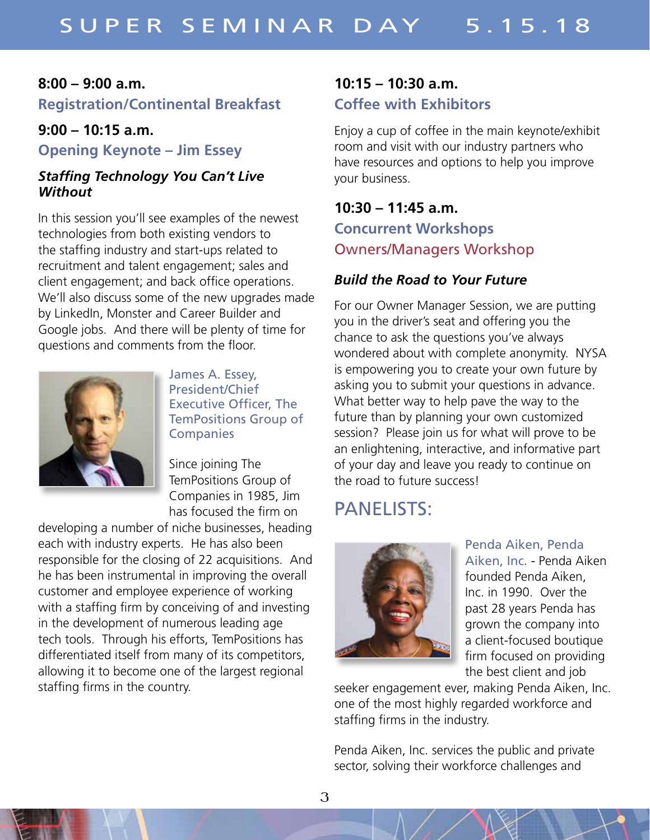#### **8:00 – 9:00 a.m.**

**Registration/Continental Breakfast**

#### **9:00 – 10:15 a.m.**

**Opening Keynote – Jim Essey**

#### *Staffing Technology You Can't Live Without*

In this session you'll see examples of the newest technologies from both existing vendors to the staffing industry and start-ups related to recruitment and talent engagement; sales and client engagement; and back office operations. We'll also discuss some of the new upgrades made by LinkedIn, Monster and Career Builder and Google jobs. And there will be plenty of time for questions and comments from the floor.



James A. Essey, President/Chief Executive Officer, The TemPositions Group of **Companies** 

Since joining The TemPositions Group of Companies in 1985, Jim has focused the firm on

developing a number of niche businesses, heading each with industry experts. He has also been responsible for the closing of 22 acquisitions. And he has been instrumental in improving the overall customer and employee experience of working with a staffing firm by conceiving of and investing in the development of numerous leading age tech tools. Through his efforts, TemPositions has differentiated itself from many of its competitors, allowing it to become one of the largest regional staffing firms in the country.

## **10:15 – 10:30 a.m. Coffee with Exhibitors**

Enjoy a cup of coffee in the main keynote/exhibit room and visit with our industry partners who have resources and options to help you improve your business.

# **10:30 – 11:45 a.m. Concurrent Workshops** Owners/Managers Workshop

## *Build the Road to Your Future*

For our Owner Manager Session, we are putting you in the driver's seat and offering you the chance to ask the questions you've always wondered about with complete anonymity. NYSA is empowering you to create your own future by asking you to submit your questions in advance. What better way to help pave the way to the future than by planning your own customized session? Please join us for what will prove to be an enlightening, interactive, and informative part of your day and leave you ready to continue on the road to future success!

# PANELISTS:



Penda Aiken, Penda Aiken, Inc. - Penda Aiken founded Penda Aiken, Inc. in 1990. Over the past 28 years Penda has grown the company into a client-focused boutique firm focused on providing the best client and job

seeker engagement ever, making Penda Aiken, Inc. one of the most highly regarded workforce and staffing firms in the industry.

Penda Aiken, Inc. services the public and private sector, solving their workforce challenges and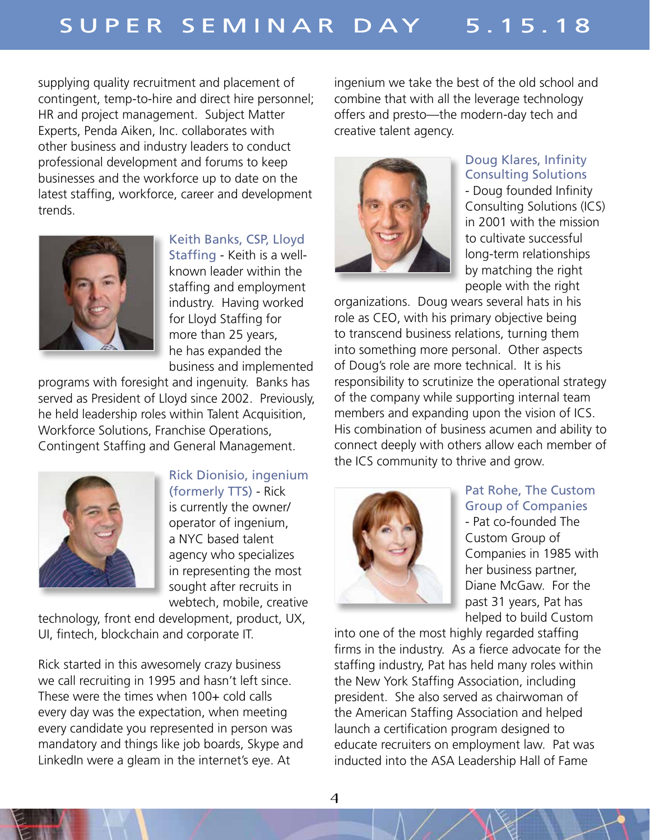supplying quality recruitment and placement of contingent, temp-to-hire and direct hire personnel; HR and project management. Subject Matter Experts, Penda Aiken, Inc. collaborates with other business and industry leaders to conduct professional development and forums to keep businesses and the workforce up to date on the latest staffing, workforce, career and development trends.



Keith Banks, CSP, Lloyd

Staffing - Keith is a wellknown leader within the staffing and employment industry. Having worked for Lloyd Staffing for more than 25 years, he has expanded the business and implemented

programs with foresight and ingenuity. Banks has served as President of Lloyd since 2002. Previously, he held leadership roles within Talent Acquisition, Workforce Solutions, Franchise Operations, Contingent Staffing and General Management.



Rick Dionisio, ingenium (formerly TTS) - Rick

is currently the owner/ operator of ingenium, a NYC based talent agency who specializes in representing the most sought after recruits in webtech, mobile, creative

technology, front end development, product, UX, UI, fintech, blockchain and corporate IT.

Rick started in this awesomely crazy business we call recruiting in 1995 and hasn't left since. These were the times when 100+ cold calls every day was the expectation, when meeting every candidate you represented in person was mandatory and things like job boards, Skype and LinkedIn were a gleam in the internet's eye. At

ingenium we take the best of the old school and combine that with all the leverage technology offers and presto—the modern-day tech and creative talent agency.



#### Doug Klares, Infinity Consulting Solutions

- Doug founded Infinity Consulting Solutions (ICS) in 2001 with the mission to cultivate successful long-term relationships by matching the right people with the right

organizations. Doug wears several hats in his role as CEO, with his primary objective being to transcend business relations, turning them into something more personal. Other aspects of Doug's role are more technical. It is his responsibility to scrutinize the operational strategy of the company while supporting internal team members and expanding upon the vision of ICS. His combination of business acumen and ability to connect deeply with others allow each member of the ICS community to thrive and grow.



#### Pat Rohe, The Custom Group of Companies - Pat co-founded The

Custom Group of Companies in 1985 with her business partner, Diane McGaw. For the past 31 years, Pat has helped to build Custom

into one of the most highly regarded staffing firms in the industry. As a fierce advocate for the staffing industry, Pat has held many roles within the New York Staffing Association, including president. She also served as chairwoman of the American Staffing Association and helped launch a certification program designed to educate recruiters on employment law. Pat was inducted into the ASA Leadership Hall of Fame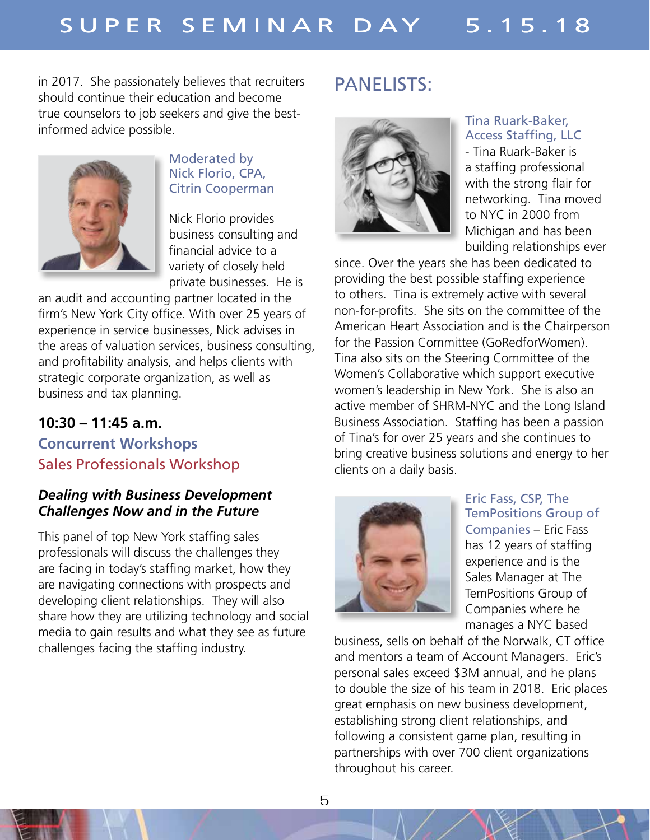in 2017. She passionately believes that recruiters should continue their education and become true counselors to job seekers and give the bestinformed advice possible.



#### Moderated by Nick Florio, CPA, Citrin Cooperman

Nick Florio provides business consulting and financial advice to a variety of closely held private businesses. He is

an audit and accounting partner located in the firm's New York City office. With over 25 years of experience in service businesses, Nick advises in the areas of valuation services, business consulting, and profitability analysis, and helps clients with strategic corporate organization, as well as business and tax planning.

## **10:30 – 11:45 a.m.**

## **Concurrent Workshops** Sales Professionals Workshop

#### *Dealing with Business Development Challenges Now and in the Future*

This panel of top New York staffing sales professionals will discuss the challenges they are facing in today's staffing market, how they are navigating connections with prospects and developing client relationships. They will also share how they are utilizing technology and social media to gain results and what they see as future challenges facing the staffing industry.

# PANELISTS:



#### Tina Ruark-Baker, Access Staffing, LLC

- Tina Ruark-Baker is a staffing professional with the strong flair for networking. Tina moved to NYC in 2000 from Michigan and has been building relationships ever

since. Over the years she has been dedicated to providing the best possible staffing experience to others. Tina is extremely active with several non-for-profits. She sits on the committee of the American Heart Association and is the Chairperson for the Passion Committee (GoRedforWomen). Tina also sits on the Steering Committee of the Women's Collaborative which support executive women's leadership in New York. She is also an active member of SHRM-NYC and the Long Island Business Association. Staffing has been a passion of Tina's for over 25 years and she continues to bring creative business solutions and energy to her clients on a daily basis.



Eric Fass, CSP, The TemPositions Group of Companies – Eric Fass has 12 years of staffing experience and is the Sales Manager at The TemPositions Group of Companies where he manages a NYC based

business, sells on behalf of the Norwalk, CT office and mentors a team of Account Managers. Eric's personal sales exceed \$3M annual, and he plans to double the size of his team in 2018. Eric places great emphasis on new business development, establishing strong client relationships, and following a consistent game plan, resulting in partnerships with over 700 client organizations throughout his career.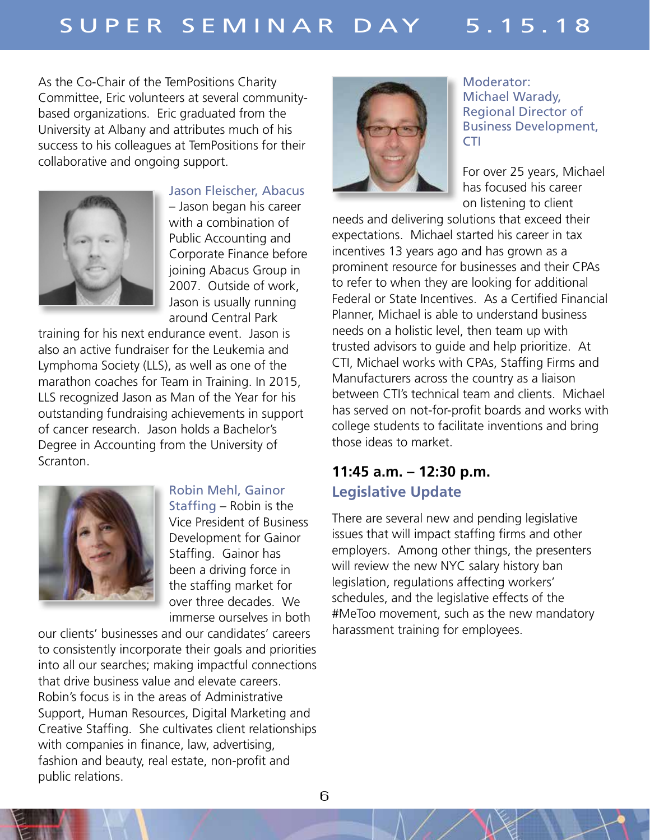As the Co-Chair of the TemPositions Charity Committee, Eric volunteers at several communitybased organizations. Eric graduated from the University at Albany and attributes much of his success to his colleagues at TemPositions for their collaborative and ongoing support.



Jason Fleischer, Abacus

– Jason began his career with a combination of Public Accounting and Corporate Finance before joining Abacus Group in 2007. Outside of work, Jason is usually running around Central Park

training for his next endurance event. Jason is also an active fundraiser for the Leukemia and Lymphoma Society (LLS), as well as one of the marathon coaches for Team in Training. In 2015, LLS recognized Jason as Man of the Year for his outstanding fundraising achievements in support of cancer research. Jason holds a Bachelor's Degree in Accounting from the University of Scranton.



#### Robin Mehl, Gainor

Staffing – Robin is the Vice President of Business Development for Gainor Staffing. Gainor has been a driving force in the staffing market for over three decades. We immerse ourselves in both

our clients' businesses and our candidates' careers to consistently incorporate their goals and priorities into all our searches; making impactful connections that drive business value and elevate careers. Robin's focus is in the areas of Administrative Support, Human Resources, Digital Marketing and Creative Staffing. She cultivates client relationships with companies in finance, law, advertising, fashion and beauty, real estate, non-profit and public relations.



Moderator: Michael Warady, Regional Director of Business Development, CTI

For over 25 years, Michael has focused his career on listening to client

needs and delivering solutions that exceed their expectations. Michael started his career in tax incentives 13 years ago and has grown as a prominent resource for businesses and their CPAs to refer to when they are looking for additional Federal or State Incentives. As a Certified Financial Planner, Michael is able to understand business needs on a holistic level, then team up with trusted advisors to guide and help prioritize. At CTI, Michael works with CPAs, Staffing Firms and Manufacturers across the country as a liaison between CTI's technical team and clients. Michael has served on not-for-profit boards and works with college students to facilitate inventions and bring those ideas to market.

## **11:45 a.m. – 12:30 p.m. Legislative Update**

There are several new and pending legislative issues that will impact staffing firms and other employers. Among other things, the presenters will review the new NYC salary history ban legislation, regulations affecting workers' schedules, and the legislative effects of the #MeToo movement, such as the new mandatory harassment training for employees.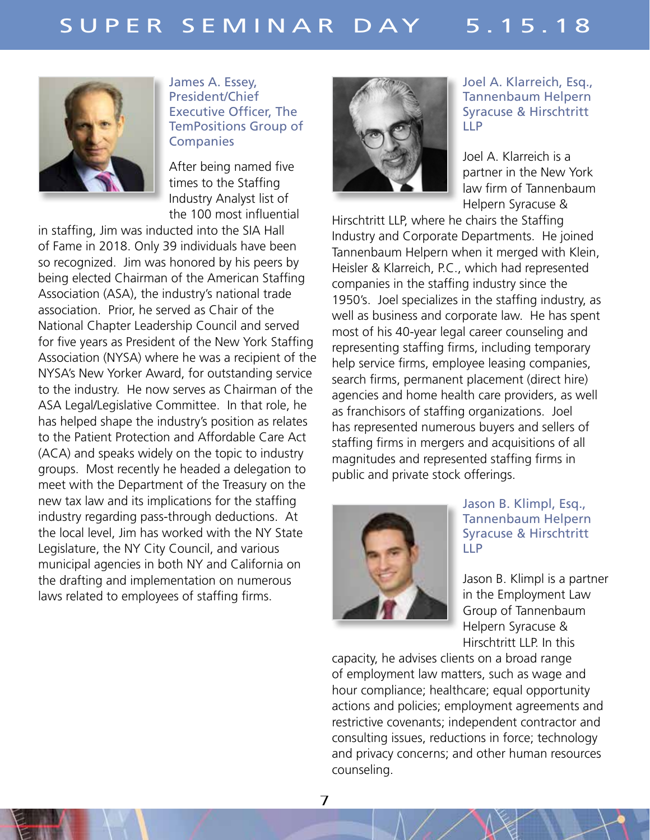

James A. Essey, President/Chief Executive Officer, The TemPositions Group of **Companies** 

After being named five times to the Staffing Industry Analyst list of the 100 most influential

in staffing, Jim was inducted into the SIA Hall of Fame in 2018. Only 39 individuals have been so recognized. Jim was honored by his peers by being elected Chairman of the American Staffing Association (ASA), the industry's national trade association. Prior, he served as Chair of the National Chapter Leadership Council and served for five years as President of the New York Staffing Association (NYSA) where he was a recipient of the NYSA's New Yorker Award, for outstanding service to the industry. He now serves as Chairman of the ASA Legal/Legislative Committee. In that role, he has helped shape the industry's position as relates to the Patient Protection and Affordable Care Act (ACA) and speaks widely on the topic to industry groups. Most recently he headed a delegation to meet with the Department of the Treasury on the new tax law and its implications for the staffing industry regarding pass-through deductions. At the local level, Jim has worked with the NY State Legislature, the NY City Council, and various municipal agencies in both NY and California on the drafting and implementation on numerous laws related to employees of staffing firms.



Joel A. Klarreich, Esq., Tannenbaum Helpern Syracuse & Hirschtritt LLP

Joel A. Klarreich is a partner in the New York law firm of Tannenbaum Helpern Syracuse &

Hirschtritt LLP, where he chairs the Staffing Industry and Corporate Departments. He joined Tannenbaum Helpern when it merged with Klein, Heisler & Klarreich, P.C., which had represented companies in the staffing industry since the 1950's. Joel specializes in the staffing industry, as well as business and corporate law. He has spent most of his 40-year legal career counseling and representing staffing firms, including temporary help service firms, employee leasing companies, search firms, permanent placement (direct hire) agencies and home health care providers, as well as franchisors of staffing organizations. Joel has represented numerous buyers and sellers of staffing firms in mergers and acquisitions of all magnitudes and represented staffing firms in public and private stock offerings.



Jason B. Klimpl, Esq., Tannenbaum Helpern Syracuse & Hirschtritt LLP

Jason B. Klimpl is a partner in the Employment Law Group of Tannenbaum Helpern Syracuse & Hirschtritt LLP. In this

capacity, he advises clients on a broad range of employment law matters, such as wage and hour compliance; healthcare; equal opportunity actions and policies; employment agreements and restrictive covenants; independent contractor and consulting issues, reductions in force; technology and privacy concerns; and other human resources counseling.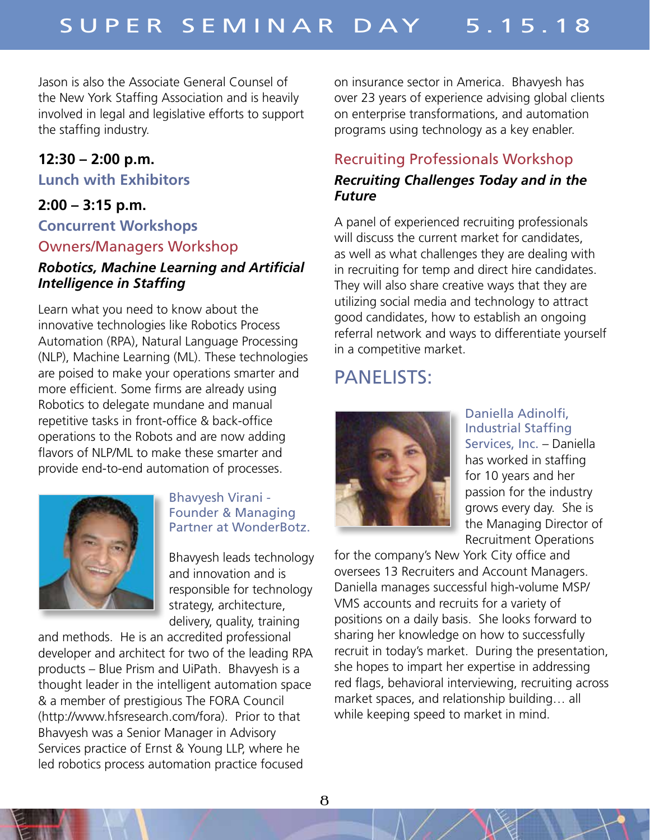Jason is also the Associate General Counsel of the New York Staffing Association and is heavily involved in legal and legislative efforts to support the staffing industry.

## **12:30 – 2:00 p.m.**

#### **Lunch with Exhibitors**

## **2:00 – 3:15 p.m.**

# **Concurrent Workshops** Owners/Managers Workshop

## *Robotics, Machine Learning and Artificial Intelligence in Staffing*

Learn what you need to know about the innovative technologies like Robotics Process Automation (RPA), Natural Language Processing (NLP), Machine Learning (ML). These technologies are poised to make your operations smarter and more efficient. Some firms are already using Robotics to delegate mundane and manual repetitive tasks in front-office & back-office operations to the Robots and are now adding flavors of NLP/ML to make these smarter and provide end-to-end automation of processes.



#### Bhavyesh Virani - Founder & Managing Partner at WonderBotz.

Bhavyesh leads technology and innovation and is responsible for technology strategy, architecture, delivery, quality, training

and methods. He is an accredited professional developer and architect for two of the leading RPA products – Blue Prism and UiPath. Bhavyesh is a thought leader in the intelligent automation space & a member of prestigious The FORA Council (http://www.hfsresearch.com/fora). Prior to that Bhavyesh was a Senior Manager in Advisory Services practice of Ernst & Young LLP, where he led robotics process automation practice focused

on insurance sector in America. Bhavyesh has over 23 years of experience advising global clients on enterprise transformations, and automation programs using technology as a key enabler.

## Recruiting Professionals Workshop

#### *Recruiting Challenges Today and in the Future*

A panel of experienced recruiting professionals will discuss the current market for candidates, as well as what challenges they are dealing with in recruiting for temp and direct hire candidates. They will also share creative ways that they are utilizing social media and technology to attract good candidates, how to establish an ongoing referral network and ways to differentiate yourself in a competitive market.

# PANELISTS:



Daniella Adinolfi, Industrial Staffing Services, Inc. – Daniella has worked in staffing for 10 years and her passion for the industry grows every day. She is the Managing Director of Recruitment Operations

for the company's New York City office and oversees 13 Recruiters and Account Managers. Daniella manages successful high-volume MSP/ VMS accounts and recruits for a variety of positions on a daily basis. She looks forward to sharing her knowledge on how to successfully recruit in today's market. During the presentation, she hopes to impart her expertise in addressing red flags, behavioral interviewing, recruiting across market spaces, and relationship building… all while keeping speed to market in mind.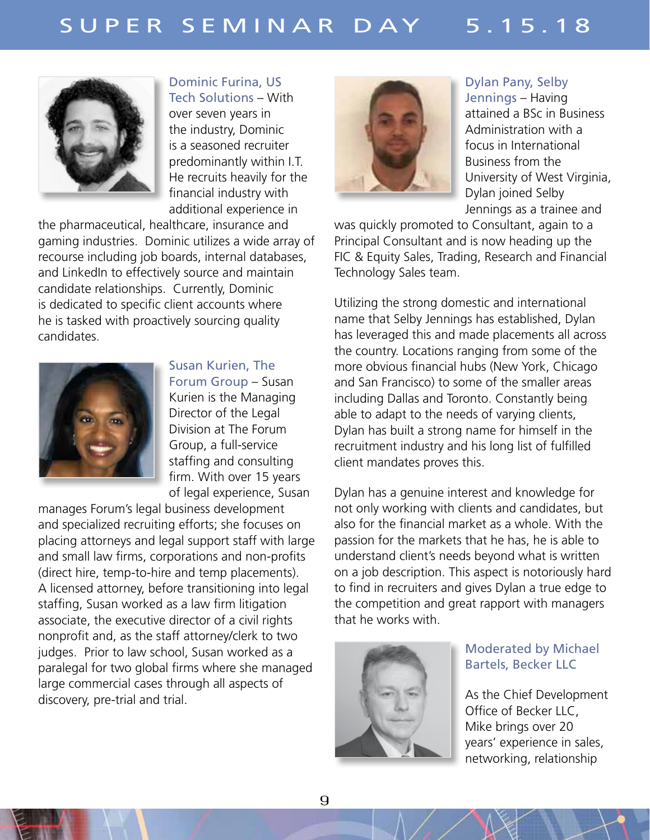

Dominic Furina, US Tech Solutions – With

over seven years in the industry, Dominic is a seasoned recruiter predominantly within I.T. He recruits heavily for the financial industry with additional experience in

the pharmaceutical, healthcare, insurance and gaming industries. Dominic utilizes a wide array of recourse including job boards, internal databases, and LinkedIn to effectively source and maintain candidate relationships. Currently, Dominic is dedicated to specific client accounts where he is tasked with proactively sourcing quality candidates.



Susan Kurien, The Forum Group – Susan Kurien is the Managing Director of the Legal Division at The Forum Group, a full-service staffing and consulting firm. With over 15 years of legal experience, Susan

manages Forum's legal business development and specialized recruiting efforts; she focuses on placing attorneys and legal support staff with large and small law firms, corporations and non-profits (direct hire, temp-to-hire and temp placements). A licensed attorney, before transitioning into legal staffing, Susan worked as a law firm litigation associate, the executive director of a civil rights nonprofit and, as the staff attorney/clerk to two judges. Prior to law school, Susan worked as a paralegal for two global firms where she managed large commercial cases through all aspects of discovery, pre-trial and trial.



Dylan Pany, Selby Jennings – Having attained a BSc in Business Administration with a focus in International Business from the University of West Virginia, Dylan joined Selby Jennings as a trainee and

was quickly promoted to Consultant, again to a Principal Consultant and is now heading up the FIC & Equity Sales, Trading, Research and Financial Technology Sales team.

Utilizing the strong domestic and international name that Selby Jennings has established, Dylan has leveraged this and made placements all across the country. Locations ranging from some of the more obvious financial hubs (New York, Chicago and San Francisco) to some of the smaller areas including Dallas and Toronto. Constantly being able to adapt to the needs of varying clients, Dylan has built a strong name for himself in the recruitment industry and his long list of fulfilled client mandates proves this.

Dylan has a genuine interest and knowledge for not only working with clients and candidates, but also for the financial market as a whole. With the passion for the markets that he has, he is able to understand client's needs beyond what is written on a job description. This aspect is notoriously hard to find in recruiters and gives Dylan a true edge to the competition and great rapport with managers that he works with.



#### Moderated by Michael Bartels, Becker LLC

As the Chief Development Office of Becker LLC, Mike brings over 20 years' experience in sales, networking, relationship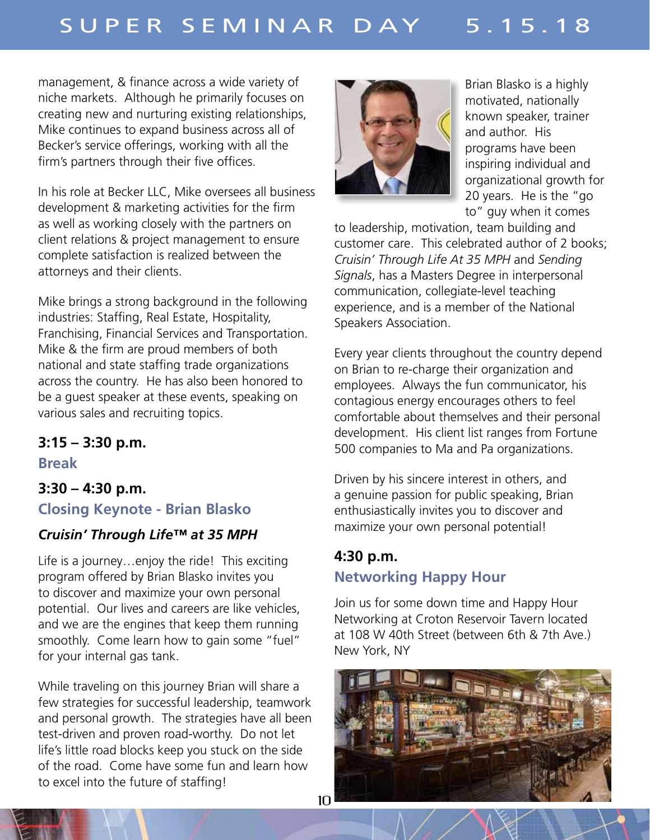management, & finance across a wide variety of niche markets. Although he primarily focuses on creating new and nurturing existing relationships, Mike continues to expand business across all of Becker's service offerings, working with all the firm's partners through their five offices.

In his role at Becker LLC, Mike oversees all business development & marketing activities for the firm as well as working closely with the partners on client relations & project management to ensure complete satisfaction is realized between the attorneys and their clients.

Mike brings a strong background in the following industries: Staffing, Real Estate, Hospitality, Franchising, Financial Services and Transportation. Mike & the firm are proud members of both national and state staffing trade organizations across the country. He has also been honored to be a guest speaker at these events, speaking on various sales and recruiting topics.

## **3:15 – 3:30 p.m.**

**Break**

# **3:30 – 4:30 p.m. Closing Keynote - Brian Blasko**

# *Cruisin' Through Life™ at 35 MPH*

Life is a journey…enjoy the ride! This exciting program offered by Brian Blasko invites you to discover and maximize your own personal potential. Our lives and careers are like vehicles, and we are the engines that keep them running smoothly. Come learn how to gain some "fuel" for your internal gas tank.

While traveling on this journey Brian will share a few strategies for successful leadership, teamwork and personal growth. The strategies have all been test-driven and proven road-worthy. Do not let life's little road blocks keep you stuck on the side of the road. Come have some fun and learn how to excel into the future of staffing!



Brian Blasko is a highly motivated, nationally known speaker, trainer and author. His programs have been inspiring individual and organizational growth for 20 years. He is the "go to" guy when it comes

to leadership, motivation, team building and customer care. This celebrated author of 2 books; *Cruisin' Through Life At 35 MPH* and *Sending Signals*, has a Masters Degree in interpersonal communication, collegiate-level teaching experience, and is a member of the National Speakers Association.

Every year clients throughout the country depend on Brian to re-charge their organization and employees. Always the fun communicator, his contagious energy encourages others to feel comfortable about themselves and their personal development. His client list ranges from Fortune 500 companies to Ma and Pa organizations.

Driven by his sincere interest in others, and a genuine passion for public speaking, Brian enthusiastically invites you to discover and maximize your own personal potential!

# **4:30 p.m. Networking Happy Hour**

Join us for some down time and Happy Hour Networking at Croton Reservoir Tavern located at 108 W 40th Street (between 6th & 7th Ave.) New York, NY